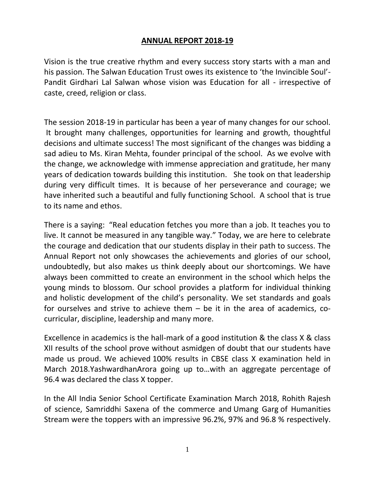## **ANNUAL REPORT 2018-19**

Vision is the true creative rhythm and every success story starts with a man and his passion. The Salwan Education Trust owes its existence to 'the Invincible Soul'- Pandit Girdhari Lal Salwan whose vision was Education for all - irrespective of caste, creed, religion or class.

The session 2018-19 in particular has been a year of many changes for our school. It brought many challenges, opportunities for learning and growth, thoughtful decisions and ultimate success! The most significant of the changes was bidding a sad adieu to Ms. Kiran Mehta, founder principal of the school. As we evolve with the change, we acknowledge with immense appreciation and gratitude, her many years of dedication towards building this institution. She took on that leadership during very difficult times. It is because of her perseverance and courage; we have inherited such a beautiful and fully functioning School. A school that is true to its name and ethos.

There is a saying: "Real education fetches you more than a job. It teaches you to live. It cannot be measured in any tangible way." Today, we are here to celebrate the courage and dedication that our students display in their path to success. The Annual Report not only showcases the achievements and glories of our school, undoubtedly, but also makes us think deeply about our shortcomings. We have always been committed to create an environment in the school which helps the young minds to blossom. Our school provides a platform for individual thinking and holistic development of the child's personality. We set standards and goals for ourselves and strive to achieve them – be it in the area of academics, cocurricular, discipline, leadership and many more.

Excellence in academics is the hall-mark of a good institution & the class X & class XII results of the school prove without asmidgen of doubt that our students have made us proud. We achieved 100% results in CBSE class X examination held in March 2018.YashwardhanArora going up to…with an aggregate percentage of 96.4 was declared the class X topper.

In the All India Senior School Certificate Examination March 2018, Rohith Rajesh of science, Samriddhi Saxena of the commerce and Umang Garg of Humanities Stream were the toppers with an impressive 96.2%, 97% and 96.8 % respectively.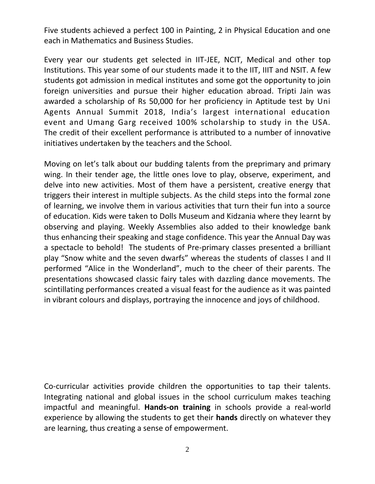Five students achieved a perfect 100 in Painting, 2 in Physical Education and one each in Mathematics and Business Studies.

Every year our students get selected in IIT-JEE, NCIT, Medical and other top Institutions. This year some of our students made it to the IIT, IIIT and NSIT. A few students got admission in medical institutes and some got the opportunity to join foreign universities and pursue their higher education abroad. Tripti Jain was awarded a scholarship of Rs 50,000 for her proficiency in Aptitude test by [Uni](http://www.buddy4study.com/scholarship-blog/uniagents-annual-summit-2018-opens-door-of-opportunities-for-indian-students) Agents Annual [Summit](http://www.buddy4study.com/scholarship-blog/uniagents-annual-summit-2018-opens-door-of-opportunities-for-indian-students) 2018, India's largest international education event and Umang Garg received 100% scholarship to study in the USA. The credit of their excellent performance is attributed to a number of innovative initiatives undertaken by the teachers and the School.

Moving on let's talk about our budding talents from the preprimary and primary wing. In their tender age, the little ones love to play, observe, experiment, and delve into new activities. Most of them have a persistent, creative energy that triggers their interest in multiple subjects. As the child steps into the formal zone of learning, we involve them in various activities that turn their fun into a source of education. Kids were taken to Dolls Museum and Kidzania where they learnt by observing and playing. Weekly Assemblies also added to their knowledge bank thus enhancing their speaking and stage confidence. This year the Annual Day was a spectacle to behold! The students of Pre-primary classes presented a brilliant play "Snow white and the seven dwarfs" whereas the students of classes I and II performed "Alice in the Wonderland", much to the cheer of their parents. The presentations showcased classic fairy tales with dazzling dance movements. The scintillating performances created a visual feast for the audience as it was painted in vibrant colours and displays, portraying the innocence and joys of childhood.

Co-curricular activities provide children the opportunities to tap their talents. Integrating national and global issues in the school curriculum makes teaching impactful and meaningful. **Hands-on training** in schools provide a real-world experience by allowing the students to get their **hands** directly on whatever they are learning, thus creating a sense of empowerment.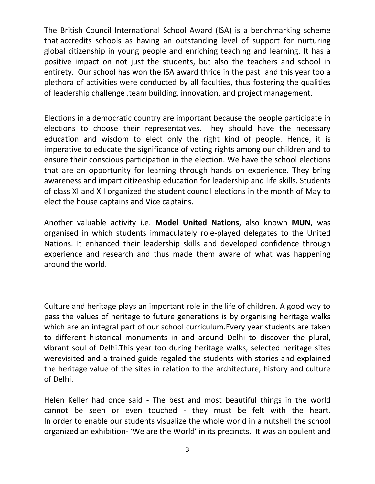The British Council International School Award (ISA) is a benchmarking scheme that accredits schools as having an outstanding level of support for nurturing global citizenship in young people and enriching teaching and learning. It has a positive impact on not just the students, but also the teachers and school in entirety. Our school has won the ISA award thrice in the past and this year too a plethora of activities were conducted by all faculties, thus fostering the qualities of leadership challenge ,team building, innovation, and project management.

Elections in a democratic country are important because the people participate in elections to choose their representatives. They should have the necessary education and wisdom to elect only the right kind of people. Hence, it is imperative to educate the significance of voting rights among our children and to ensure their conscious participation in the election. We have the school elections that are an opportunity for learning through hands on experience. They bring awareness and impart citizenship education for leadership and life skills. Students of class XI and XII organized the student council elections in the month of May to elect the house captains and Vice captains.

Another valuable activity i.e. **Model United Nations**, also known **MUN**, was organised in which students immaculately role-played delegates to the United Nations. It enhanced their leadership skills and developed confidence through experience and research and thus made them aware of what was happening around the world.

Culture and heritage plays an important role in the life of children. A good way to pass the values of heritage to future generations is by organising heritage walks which are an integral part of our school curriculum.Every year students are taken to different historical monuments in and around Delhi to discover the plural, vibrant soul of Delhi.This year too during heritage walks, selected heritage sites werevisited and a trained guide regaled the students with stories and explained the heritage value of the sites in relation to the architecture, history and culture of Delhi.

Helen Keller had once said - The best and most beautiful things in the world cannot be seen or even touched - they must be felt with the heart. In order to enable our students visualize the whole world in a nutshell the school organized an exhibition- 'We are the World' in its precincts. It was an opulent and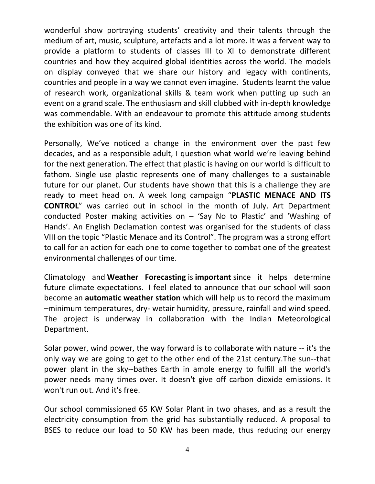wonderful show portraying students' creativity and their talents through the medium of art, music, sculpture, artefacts and a lot more. It was a fervent way to provide a platform to students of classes III to XI to demonstrate different countries and how they acquired global identities across the world. The models on display conveyed that we share our history and legacy with continents, countries and people in a way we cannot even imagine. Students learnt the value of research work, organizational skills & team work when putting up such an event on a grand scale. The enthusiasm and skill clubbed with in-depth knowledge was commendable. With an endeavour to promote this attitude among students the exhibition was one of its kind.

Personally, We've noticed a change in the environment over the past few decades, and as a responsible adult, I question what world we're leaving behind for the next generation. The effect that plastic is having on our world is difficult to fathom. Single use plastic represents one of many challenges to a sustainable future for our planet. Our students have shown that this is a challenge they are ready to meet head on. A week long campaign "**PLASTIC MENACE AND ITS CONTROL**" was carried out in school in the month of July. Art Department conducted Poster making activities on – 'Say No to Plastic' and 'Washing of Hands'. An English Declamation contest was organised for the students of class VIII on the topic "Plastic Menace and its Control". The program was a strong effort to call for an action for each one to come together to combat one of the greatest environmental challenges of our time.

Climatology and **Weather Forecasting** is **important** since it helps determine future climate expectations. I feel elated to announce that our school will soon become an **automatic weather station** which will help us to record the maximum –minimum temperatures, dry- wetair humidity, pressure, rainfall and wind speed. The project is underway in collaboration with the Indian Meteorological Department.

Solar power, wind power, the way forward is to collaborate with nature -- it's the only way we are going to get to the other end of the 21st century.The sun--that power plant in the sky--bathes Earth in ample energy to fulfill all the world's power needs many times over. It doesn't give off carbon dioxide emissions. It won't run out. And it's free.

Our school commissioned 65 KW Solar Plant in two phases, and as a result the electricity consumption from the grid has substantially reduced. A proposal to BSES to reduce our load to 50 KW has been made, thus reducing our energy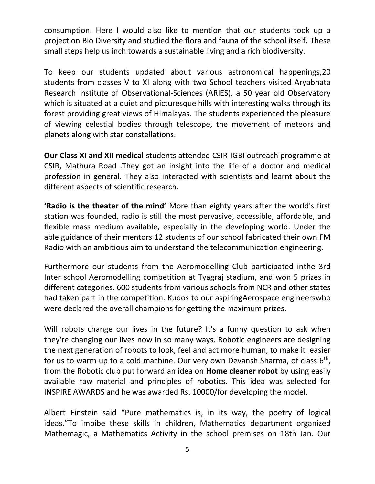consumption. Here I would also like to mention that our students took up a project on Bio Diversity and studied the flora and fauna of the school itself. These small steps help us inch towards a sustainable living and a rich biodiversity.

To keep our students updated about various astronomical happenings,20 students from classes V to XI along with two School teachers visited Aryabhata Research Institute of Observational-Sciences (ARIES), a 50 year old Observatory which is situated at a quiet and picturesque hills with interesting walks through its forest providing great views of Himalayas. The students experienced the pleasure of viewing celestial bodies through telescope, the movement of meteors and planets along with star constellations.

**Our Class XI and XII medical** students attended CSIR-IGBI outreach programme at CSIR, Mathura Road .They got an insight into the life of a doctor and medical profession in general. They also interacted with scientists and learnt about the different aspects of scientific research.

**'Radio is the theater of the mind'** More than eighty years after the world's first station was founded, radio is still the most pervasive, accessible, affordable, and flexible mass medium available, especially in the developing world. Under the able guidance of their mentors 12 students of our school fabricated their own FM Radio with an ambitious aim to understand the telecommunication engineering.

Furthermore our students from the Aeromodelling Club participated inthe 3rd Inter school Aeromodelling competition at Tyagraj stadium, and won 5 prizes in different categories. 600 students from various schools from NCR and other states had taken part in the competition. Kudos to our aspiringAerospace engineerswho were declared the overall champions for getting the maximum prizes.

Will robots change our lives in the future? It's a funny question to ask when they're changing our lives now in so many ways. Robotic engineers are designing the next generation of robots to look, feel and act more human, to make it easier for us to warm up to a cold machine. Our very own Devansh Sharma, of class  $6<sup>th</sup>$ , from the Robotic club put forward an idea on **Home cleaner robot** by using easily available raw material and principles of robotics. This idea was selected for INSPIRE AWARDS and he was awarded Rs. 10000/for developing the model.

Albert Einstein said "Pure mathematics is, in its way, the poetry of logical ideas."To imbibe these skills in children, Mathematics department organized Mathemagic, a Mathematics Activity in the school premises on 18th Jan. Our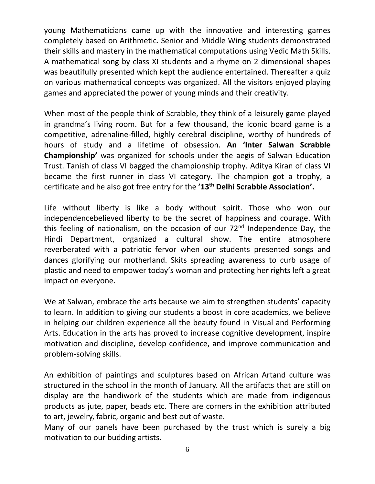young Mathematicians came up with the innovative and interesting games completely based on Arithmetic. Senior and Middle Wing students demonstrated their skills and mastery in the mathematical computations using Vedic Math Skills. A mathematical song by class XI students and a rhyme on 2 dimensional shapes was beautifully presented which kept the audience entertained. Thereafter a quiz on various mathematical concepts was organized. All the visitors enjoyed playing games and appreciated the power of young minds and their creativity.

When most of the people think of Scrabble, they think of a leisurely game played in grandma's living room. But for a few thousand, the iconic board game is a competitive, adrenaline-filled, highly cerebral discipline, worthy of hundreds of hours of study and a lifetime of obsession. **An 'Inter Salwan Scrabble Championship'** was organized for schools under the aegis of Salwan Education Trust. Tanish of class VI bagged the championship trophy. Aditya Kiran of class VI became the first runner in class VI category. The champion got a trophy, a certificate and he also got free entry for the **'13th Delhi Scrabble Association'.**

Life without liberty is like a body without spirit. Those who won our independencebelieved liberty to be the secret of happiness and courage. With this feeling of nationalism, on the occasion of our  $72<sup>nd</sup>$  Independence Day, the Hindi Department, organized a cultural show. The entire atmosphere reverberated with a patriotic fervor when our students presented songs and dances glorifying our motherland. Skits spreading awareness to curb usage of plastic and need to empower today's woman and protecting her rights left a great impact on everyone.

We at Salwan, embrace the arts because we aim to strengthen students' capacity to learn. In addition to giving our students a boost in core academics, we believe in helping our children experience all the beauty found in Visual and Performing Arts. Education in the arts has proved to increase cognitive development, inspire motivation and discipline, develop confidence, and improve communication and problem-solving skills.

An exhibition of paintings and sculptures based on African Artand culture was structured in the school in the month of January. All the artifacts that are still on display are the handiwork of the students which are made from indigenous products as jute, paper, beads etc. There are corners in the exhibition attributed to art, jewelry, fabric, organic and best out of waste.

Many of our panels have been purchased by the trust which is surely a big motivation to our budding artists.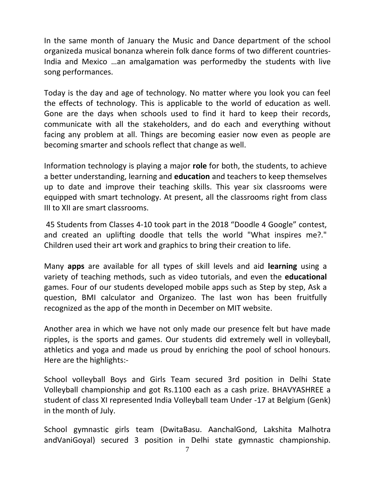In the same month of January the Music and Dance department of the school organizeda musical bonanza wherein folk dance forms of two different countries-India and Mexico …an amalgamation was performedby the students with live song performances.

Today is the day and age of technology. No matter where you look you can feel the effects of technology. This is applicable to the world of education as well. Gone are the days when schools used to find it hard to keep their records, communicate with all the stakeholders, and do each and everything without facing any problem at all. Things are becoming easier now even as people are becoming smarter and schools reflect that change as well.

Information technology is playing a major **role** for both, the students, to achieve a better understanding, learning and **education** and teachers to keep themselves up to date and improve their teaching skills. This year six classrooms were equipped with smart technology. At present, all the classrooms right from class III to XII are smart classrooms.

45 Students from Classes 4-10 took part in the 2018 "Doodle 4 Google" contest, and created an uplifting doodle that tells the world "What inspires me?." Children used their art work and graphics to bring their creation to life.

Many **apps** are available for all types of skill levels and aid **learning** using a variety of teaching methods, such as video tutorials, and even the **educational** games. Four of our students developed mobile apps such as Step by step, Ask a question, BMI calculator and Organizeo. The last won has been fruitfully recognized as the app of the month in December on MIT website.

Another area in which we have not only made our presence felt but have made ripples, is the sports and games. Our students did extremely well in volleyball, athletics and yoga and made us proud by enriching the pool of school honours. Here are the highlights:-

School volleyball Boys and Girls Team secured 3rd position in Delhi State Volleyball championship and got Rs.1100 each as a cash prize. BHAVYASHREE a student of class XI represented India Volleyball team Under -17 at Belgium (Genk) in the month of July.

School gymnastic girls team (DwitaBasu. AanchalGond, Lakshita Malhotra andVaniGoyal) secured 3 position in Delhi state gymnastic championship.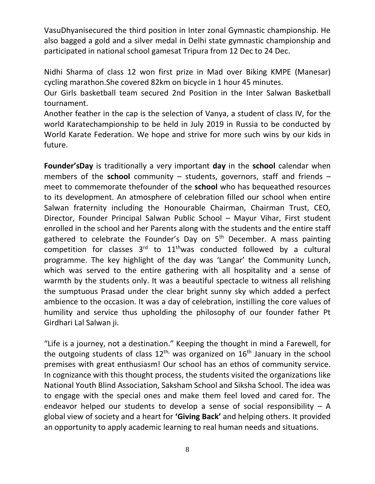VasuDhyanisecured the third position in Inter zonal Gymnastic championship. He also bagged a gold and a silver medal in Delhi state gymnastic championship and participated in national school gamesat Tripura from 12 Dec to 24 Dec.

Nidhi Sharma of class 12 won first prize in Mad over Biking KMPE (Manesar) cycling marathon.She covered 82km on bicycle in 1 hour 45 minutes.

Our Girls basketball team secured 2nd Position in the Inter Salwan Basketball tournament.

Another feather in the cap is the selection of Vanya, a student of class IV, for the world Karatechampionship to be held in July 2019 in Russia to be conducted by World Karate Federation. We hope and strive for more such wins by our kids in future.

**Founder'sDay** is traditionally a very important **day** in the **school** calendar when members of the **school** community – students, governors, staff and friends – meet to commemorate thefounder of the **school** who has bequeathed resources to its development. An atmosphere of celebration filled our school when entire Salwan fraternity including the Honourable Chairman, Chairman Trust, CEO, Director, Founder Principal Salwan Public School – Mayur Vihar, First student enrolled in the school and her Parents along with the students and the entire staff gathered to celebrate the Founder's Day on  $5<sup>th</sup>$  December. A mass painting competition for classes  $3^{rd}$  to  $11^{th}$ was conducted followed by a cultural programme. The key highlight of the day was 'Langar' the Community Lunch, which was served to the entire gathering with all hospitality and a sense of warmth by the students only. It was a beautiful spectacle to witness all relishing the sumptuous Prasad under the clear bright sunny sky which added a perfect ambience to the occasion. It was a day of celebration, instilling the core values of humility and service thus upholding the philosophy of our founder father Pt Girdhari Lal Salwan ji.

"Life is a journey, not a destination." Keeping the thought in mind a Farewell, for the outgoing students of class  $12<sup>th</sup>$  was organized on  $16<sup>th</sup>$  January in the school premises with great enthusiasm! Our school has an ethos of community service. In cognizance with this thought process, the students visited the organizations like National Youth Blind Association, Saksham School and Siksha School. The idea was to engage with the special ones and make them feel loved and cared for. The endeavor helped our students to develop a sense of social responsibility  $-$  A global view of society and a heart for **'Giving Back'** and helping others. It provided an opportunity to apply academic learning to real human needs and situations.